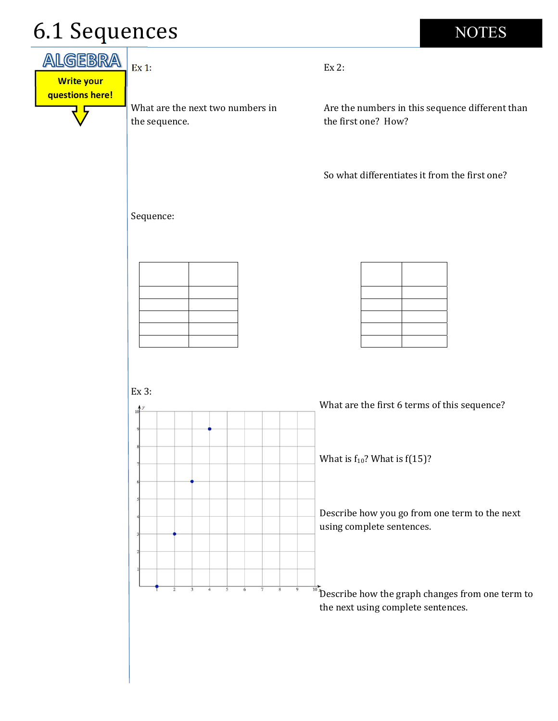## 6.1 Sequences

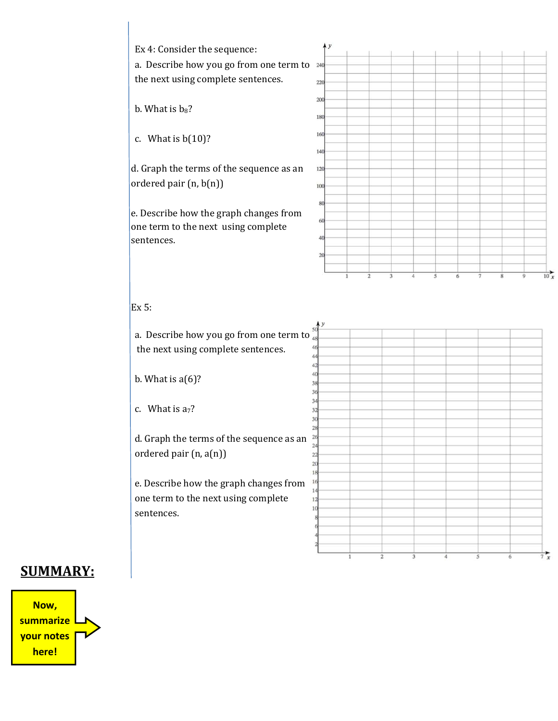

## **SUMMARY:**

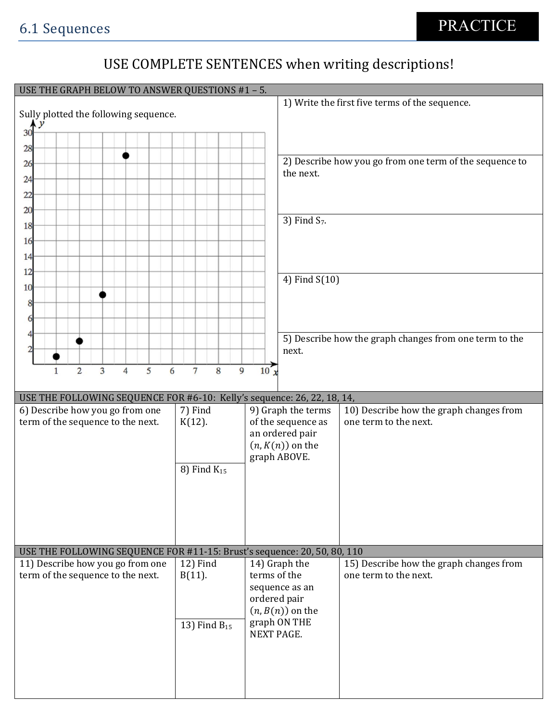## USE COMPLETE SENTENCES when writing descriptions!

|                                                                          | USE THE GRAPH BELOW TO ANSWER QUESTIONS #1 - 5. |                    |                                                         |  |  |  |
|--------------------------------------------------------------------------|-------------------------------------------------|--------------------|---------------------------------------------------------|--|--|--|
|                                                                          |                                                 |                    | 1) Write the first five terms of the sequence.          |  |  |  |
| Sully plotted the following sequence.                                    |                                                 |                    |                                                         |  |  |  |
| 30 <sup>4</sup>                                                          |                                                 |                    |                                                         |  |  |  |
| 28                                                                       |                                                 |                    |                                                         |  |  |  |
|                                                                          |                                                 |                    | 2) Describe how you go from one term of the sequence to |  |  |  |
| 26                                                                       |                                                 | the next.          |                                                         |  |  |  |
| 24                                                                       |                                                 |                    |                                                         |  |  |  |
| 22                                                                       |                                                 |                    |                                                         |  |  |  |
| 20                                                                       |                                                 |                    |                                                         |  |  |  |
| 18                                                                       |                                                 | 3) Find $S_7$ .    |                                                         |  |  |  |
|                                                                          |                                                 |                    |                                                         |  |  |  |
| 16                                                                       |                                                 |                    |                                                         |  |  |  |
| 14                                                                       |                                                 |                    |                                                         |  |  |  |
| 12                                                                       |                                                 |                    |                                                         |  |  |  |
| 10                                                                       |                                                 | 4) Find S(10)      |                                                         |  |  |  |
|                                                                          |                                                 |                    |                                                         |  |  |  |
| 8                                                                        |                                                 |                    |                                                         |  |  |  |
| 6                                                                        |                                                 |                    |                                                         |  |  |  |
| 4                                                                        |                                                 |                    | 5) Describe how the graph changes from one term to the  |  |  |  |
|                                                                          |                                                 | next.              |                                                         |  |  |  |
|                                                                          |                                                 |                    |                                                         |  |  |  |
| $\overline{2}$<br>5<br>3<br>6<br>$\overline{4}$<br>$\mathbf{1}$          | $\overline{7}$<br>8<br>9                        | 10 <sub>x</sub>    |                                                         |  |  |  |
|                                                                          |                                                 |                    |                                                         |  |  |  |
| USE THE FOLLOWING SEQUENCE FOR #6-10: Kelly's sequence: 26, 22, 18, 14,  |                                                 |                    |                                                         |  |  |  |
| 6) Describe how you go from one                                          | 7) Find                                         | 9) Graph the terms | 10) Describe how the graph changes from                 |  |  |  |
|                                                                          |                                                 |                    |                                                         |  |  |  |
| term of the sequence to the next.                                        | $K(12)$ .                                       | of the sequence as | one term to the next.                                   |  |  |  |
|                                                                          |                                                 | an ordered pair    |                                                         |  |  |  |
|                                                                          |                                                 | $(n, K(n))$ on the |                                                         |  |  |  |
|                                                                          |                                                 | graph ABOVE.       |                                                         |  |  |  |
|                                                                          | 8) Find $K_{15}$                                |                    |                                                         |  |  |  |
|                                                                          |                                                 |                    |                                                         |  |  |  |
|                                                                          |                                                 |                    |                                                         |  |  |  |
|                                                                          |                                                 |                    |                                                         |  |  |  |
|                                                                          |                                                 |                    |                                                         |  |  |  |
|                                                                          |                                                 |                    |                                                         |  |  |  |
| USE THE FOLLOWING SEQUENCE FOR #11-15: Brust's sequence: 20, 50, 80, 110 |                                                 |                    |                                                         |  |  |  |
| 11) Describe how you go from one                                         | 12) Find                                        | 14) Graph the      | 15) Describe how the graph changes from                 |  |  |  |
| term of the sequence to the next.                                        | $B(11)$ .                                       | terms of the       | one term to the next.                                   |  |  |  |
|                                                                          |                                                 | sequence as an     |                                                         |  |  |  |
|                                                                          |                                                 | ordered pair       |                                                         |  |  |  |
|                                                                          |                                                 | $(n, B(n))$ on the |                                                         |  |  |  |
|                                                                          | 13) Find $B_{15}$                               | graph ON THE       |                                                         |  |  |  |
|                                                                          |                                                 | <b>NEXT PAGE.</b>  |                                                         |  |  |  |
|                                                                          |                                                 |                    |                                                         |  |  |  |
|                                                                          |                                                 |                    |                                                         |  |  |  |
|                                                                          |                                                 |                    |                                                         |  |  |  |
|                                                                          |                                                 |                    |                                                         |  |  |  |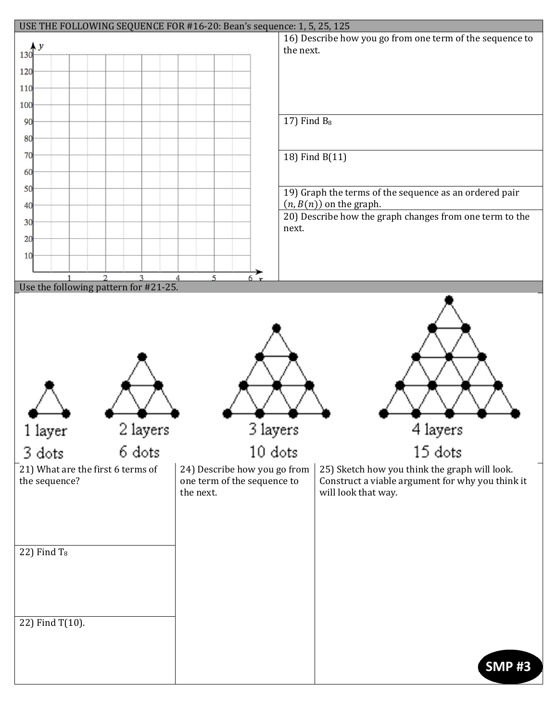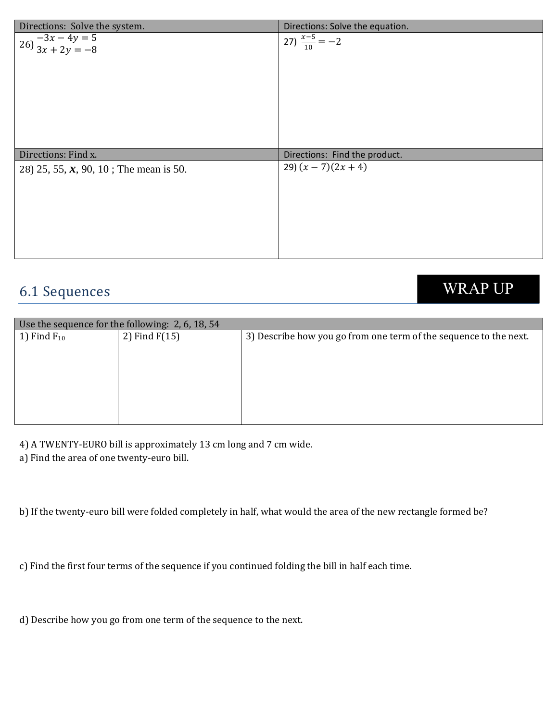| Directions: Solve the system.                       | Directions: Solve the equation. |
|-----------------------------------------------------|---------------------------------|
| $26\overline{\smash)3x - 4y = 5}$<br>$3x + 2y = -8$ | 27) $\frac{x-5}{10} = -2$       |
| Directions: Find x.                                 | Directions: Find the product.   |
| 28) 25, 55, $\mathbf{x}$ , 90, 10; The mean is 50.  | 29) $(x - 7)(2x + 4)$           |

## **6.1 Sequences**

**WRAP UP** 

| Use the sequence for the following: 2, 6, 18, 54 |                 |                                                                   |  |  |
|--------------------------------------------------|-----------------|-------------------------------------------------------------------|--|--|
| 1) Find $F_{10}$                                 | 2) Find $F(15)$ | 3) Describe how you go from one term of the sequence to the next. |  |  |
|                                                  |                 |                                                                   |  |  |
|                                                  |                 |                                                                   |  |  |
|                                                  |                 |                                                                   |  |  |
|                                                  |                 |                                                                   |  |  |
|                                                  |                 |                                                                   |  |  |
|                                                  |                 |                                                                   |  |  |
|                                                  |                 |                                                                   |  |  |
|                                                  |                 |                                                                   |  |  |
|                                                  |                 |                                                                   |  |  |

4) A TWENTY-EURO bill is approximately 13 cm long and 7 cm wide.

a) Find the area of one twenty-euro bill.

b) If the twenty-euro bill were folded completely in half, what would the area of the new rectangle formed be?

c) Find the first four terms of the sequence if you continued folding the bill in half each time.

d) Describe how you go from one term of the sequence to the next.